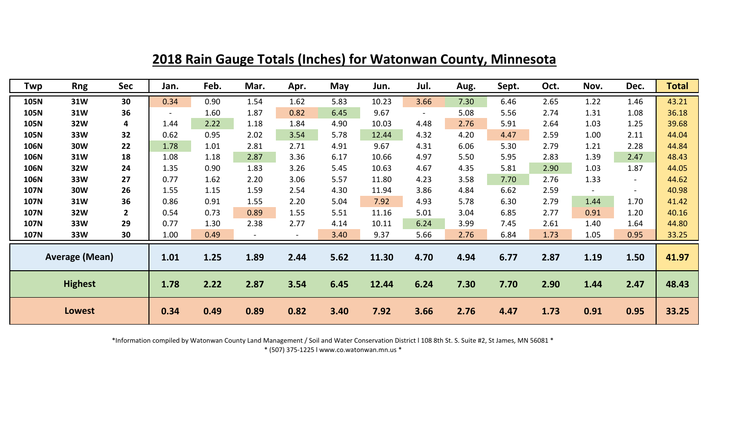| Twp                   | <b>Rng</b> | Sec            | Jan.           | Feb. | Mar. | Apr. | May  | Jun.  | Jul.           | Aug. | Sept. | Oct. | Nov.           | Dec.           | <b>Total</b> |
|-----------------------|------------|----------------|----------------|------|------|------|------|-------|----------------|------|-------|------|----------------|----------------|--------------|
| 105N                  | 31W        | 30             | 0.34           | 0.90 | 1.54 | 1.62 | 5.83 | 10.23 | 3.66           | 7.30 | 6.46  | 2.65 | 1.22           | 1.46           | 43.21        |
| <b>105N</b>           | 31W        | 36             | $\blacksquare$ | 1.60 | 1.87 | 0.82 | 6.45 | 9.67  | $\blacksquare$ | 5.08 | 5.56  | 2.74 | 1.31           | 1.08           | 36.18        |
| 105N                  | 32W        | 4              | 1.44           | 2.22 | 1.18 | 1.84 | 4.90 | 10.03 | 4.48           | 2.76 | 5.91  | 2.64 | 1.03           | 1.25           | 39.68        |
| 105N                  | 33W        | 32             | 0.62           | 0.95 | 2.02 | 3.54 | 5.78 | 12.44 | 4.32           | 4.20 | 4.47  | 2.59 | 1.00           | 2.11           | 44.04        |
| 106N                  | <b>30W</b> | 22             | 1.78           | 1.01 | 2.81 | 2.71 | 4.91 | 9.67  | 4.31           | 6.06 | 5.30  | 2.79 | 1.21           | 2.28           | 44.84        |
| 106N                  | 31W        | 18             | 1.08           | 1.18 | 2.87 | 3.36 | 6.17 | 10.66 | 4.97           | 5.50 | 5.95  | 2.83 | 1.39           | 2.47           | 48.43        |
| 106N                  | 32W        | 24             | 1.35           | 0.90 | 1.83 | 3.26 | 5.45 | 10.63 | 4.67           | 4.35 | 5.81  | 2.90 | 1.03           | 1.87           | 44.05        |
| 106N                  | 33W        | 27             | 0.77           | 1.62 | 2.20 | 3.06 | 5.57 | 11.80 | 4.23           | 3.58 | 7.70  | 2.76 | 1.33           | $\blacksquare$ | 44.62        |
| <b>107N</b>           | <b>30W</b> | 26             | 1.55           | 1.15 | 1.59 | 2.54 | 4.30 | 11.94 | 3.86           | 4.84 | 6.62  | 2.59 | $\blacksquare$ | $\sim$         | 40.98        |
| <b>107N</b>           | 31W        | 36             | 0.86           | 0.91 | 1.55 | 2.20 | 5.04 | 7.92  | 4.93           | 5.78 | 6.30  | 2.79 | 1.44           | 1.70           | 41.42        |
| <b>107N</b>           | 32W        | $\overline{2}$ | 0.54           | 0.73 | 0.89 | 1.55 | 5.51 | 11.16 | 5.01           | 3.04 | 6.85  | 2.77 | 0.91           | 1.20           | 40.16        |
| <b>107N</b>           | 33W        | 29             | 0.77           | 1.30 | 2.38 | 2.77 | 4.14 | 10.11 | 6.24           | 3.99 | 7.45  | 2.61 | 1.40           | 1.64           | 44.80        |
| <b>107N</b>           | 33W        | 30             | 1.00           | 0.49 |      |      | 3.40 | 9.37  | 5.66           | 2.76 | 6.84  | 1.73 | 1.05           | 0.95           | 33.25        |
| <b>Average (Mean)</b> |            |                | 1.01           | 1.25 | 1.89 | 2.44 | 5.62 | 11.30 | 4.70           | 4.94 | 6.77  | 2.87 | 1.19           | 1.50           | 41.97        |
| <b>Highest</b>        |            |                | 1.78           | 2.22 | 2.87 | 3.54 | 6.45 | 12.44 | 6.24           | 7.30 | 7.70  | 2.90 | 1.44           | 2.47           | 48.43        |
| <b>Lowest</b>         |            |                | 0.34           | 0.49 | 0.89 | 0.82 | 3.40 | 7.92  | 3.66           | 2.76 | 4.47  | 1.73 | 0.91           | 0.95           | 33.25        |

**2018 Rain Gauge Totals (Inches) for Watonwan County, Minnesota**

\*Information compiled by Watonwan County Land Management / Soil and Water Conservation District l 108 8th St. S. Suite #2, St James, MN 56081 \*

\* (507) 375-1225 l www.co.watonwan.mn.us \*